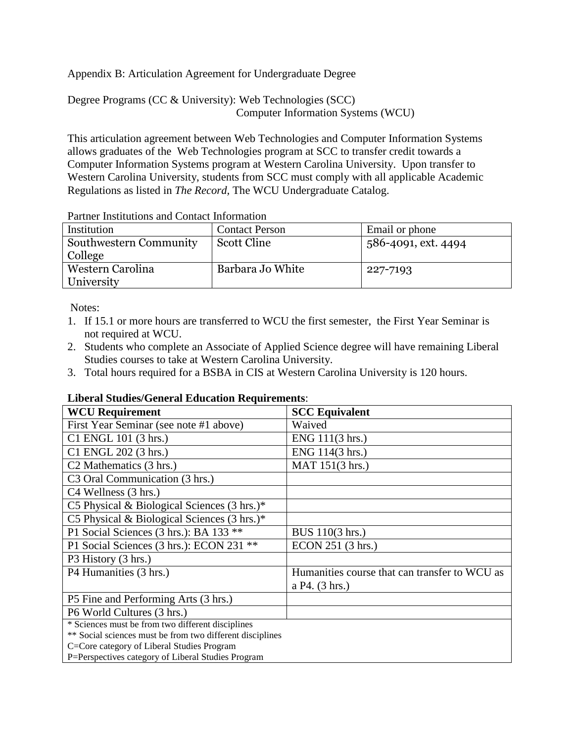Appendix B: Articulation Agreement for Undergraduate Degree

Degree Programs (CC & University): Web Technologies (SCC) Computer Information Systems (WCU)

This articulation agreement between Web Technologies and Computer Information Systems allows graduates of the Web Technologies program at SCC to transfer credit towards a Computer Information Systems program at Western Carolina University. Upon transfer to Western Carolina University, students from SCC must comply with all applicable Academic Regulations as listed in *The Record,* The WCU Undergraduate Catalog.

Partner Institutions and Contact Information

| Institution            | <b>Contact Person</b> | Email or phone      |
|------------------------|-----------------------|---------------------|
| Southwestern Community | Scott Cline           | 586-4091, ext. 4494 |
| College                |                       |                     |
| Western Carolina       | Barbara Jo White      | 227-7193            |
| University             |                       |                     |

Notes:

- 1. If 15.1 or more hours are transferred to WCU the first semester, the First Year Seminar is not required at WCU.
- 2. Students who complete an Associate of Applied Science degree will have remaining Liberal Studies courses to take at Western Carolina University.
- 3. Total hours required for a BSBA in CIS at Western Carolina University is 120 hours.

## **Liberal Studies/General Education Requirements**:

| <b>WCU Requirement</b>                                    | <b>SCC Equivalent</b>                         |
|-----------------------------------------------------------|-----------------------------------------------|
| First Year Seminar (see note #1 above)                    | Waived                                        |
| C1 ENGL 101 (3 hrs.)                                      | ENG 111(3 hrs.)                               |
| C1 ENGL 202 (3 hrs.)                                      | ENG 114(3 hrs.)                               |
| C <sub>2</sub> Mathematics (3 hrs.)                       | MAT 151(3 hrs.)                               |
| C <sub>3</sub> Oral Communication (3 hrs.)                |                                               |
| C4 Wellness (3 hrs.)                                      |                                               |
| C5 Physical & Biological Sciences $(3 \text{ hrs.})^*$    |                                               |
| C5 Physical & Biological Sciences (3 hrs.)*               |                                               |
| P1 Social Sciences (3 hrs.): BA 133 **                    | BUS 110(3 hrs.)                               |
| P1 Social Sciences (3 hrs.): ECON 231 **                  | ECON 251 (3 hrs.)                             |
| P3 History (3 hrs.)                                       |                                               |
| P4 Humanities (3 hrs.)                                    | Humanities course that can transfer to WCU as |
|                                                           | a P4. (3 hrs.)                                |
| P5 Fine and Performing Arts (3 hrs.)                      |                                               |
| P6 World Cultures (3 hrs.)                                |                                               |
| * Sciences must be from two different disciplines         |                                               |
| ** Social sciences must be from two different disciplines |                                               |
| C=Core category of Liberal Studies Program                |                                               |
| P=Perspectives category of Liberal Studies Program        |                                               |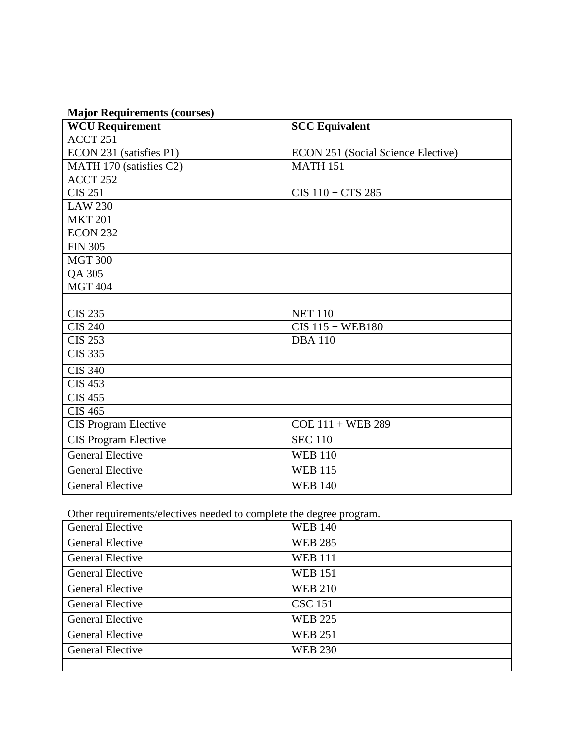|  | <b>Major Requirements (courses)</b> |  |
|--|-------------------------------------|--|
|  |                                     |  |

| <b>WCU Requirement</b>      | <b>SCC Equivalent</b>                     |
|-----------------------------|-------------------------------------------|
| ACCT 251                    |                                           |
| ECON 231 (satisfies P1)     | <b>ECON 251 (Social Science Elective)</b> |
| MATH 170 (satisfies C2)     | <b>MATH 151</b>                           |
| ACCT <sub>252</sub>         |                                           |
| <b>CIS 251</b>              | $CIS$ 110 + $CTS$ 285                     |
| <b>LAW 230</b>              |                                           |
| <b>MKT 201</b>              |                                           |
| <b>ECON 232</b>             |                                           |
| <b>FIN 305</b>              |                                           |
| <b>MGT 300</b>              |                                           |
| QA 305                      |                                           |
| <b>MGT 404</b>              |                                           |
|                             |                                           |
| <b>CIS 235</b>              | <b>NET 110</b>                            |
| <b>CIS 240</b>              | $CIS$ 115 + WEB180                        |
| <b>CIS 253</b>              | <b>DBA</b> 110                            |
| <b>CIS 335</b>              |                                           |
| <b>CIS 340</b>              |                                           |
| <b>CIS 453</b>              |                                           |
| <b>CIS 455</b>              |                                           |
| <b>CIS 465</b>              |                                           |
| <b>CIS Program Elective</b> | COE 111 + WEB 289                         |
| <b>CIS Program Elective</b> | <b>SEC 110</b>                            |
| <b>General Elective</b>     | <b>WEB 110</b>                            |
| <b>General Elective</b>     | <b>WEB 115</b>                            |
| <b>General Elective</b>     | <b>WEB 140</b>                            |

Other requirements/electives needed to complete the degree program.

| <b>General Elective</b> | <b>WEB 140</b> |
|-------------------------|----------------|
| <b>General Elective</b> | <b>WEB 285</b> |
| <b>General Elective</b> | <b>WEB 111</b> |
| <b>General Elective</b> | <b>WEB 151</b> |
| General Elective        | <b>WEB 210</b> |
| <b>General Elective</b> | <b>CSC 151</b> |
| <b>General Elective</b> | <b>WEB 225</b> |
| <b>General Elective</b> | <b>WEB 251</b> |
| <b>General Elective</b> | <b>WEB 230</b> |
|                         |                |